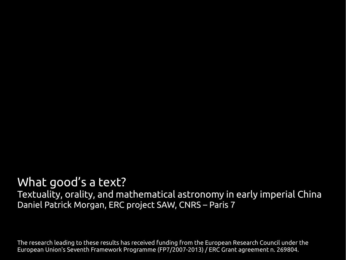### What good's a text?

Textuality, orality, and mathematical astronomy in early imperial China Daniel Patrick Morgan, ERC project SAW, CNRS – Paris 7

The research leading to these results has received funding from the European Research Council under the European Union's Seventh Framework Programme (FP7/2007-2013) / ERC Grant agreement n. 269804.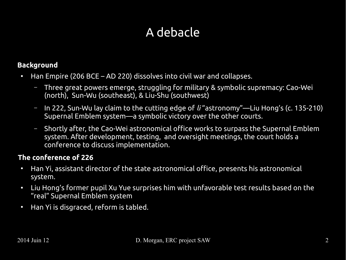## A debacle

#### **Background**

- Han Empire (206 BCE AD 220) dissolves into civil war and collapses.
	- Three great powers emerge, struggling for military & symbolic supremacy: Cao-Wei (north), Sun-Wu (southeast), & Liu-Shu (southwest)
	- In 222, Sun-Wu lay claim to the cutting edge of *li* "astronomy"—Liu Hong's (c. 135-210) Supernal Emblem system—a symbolic victory over the other courts.
	- Shortly after, the Cao-Wei astronomical office works to surpass the Supernal Emblem system. After development, testing, and oversight meetings, the court holds a conference to discuss implementation.

#### **The conference of 226**

- Han Yi, assistant director of the state astronomical office, presents his astronomical system.
- Liu Hong's former pupil Xu Yue surprises him with unfavorable test results based on the "real" Supernal Emblem system
- Han Yi is disgraced, reform is tabled.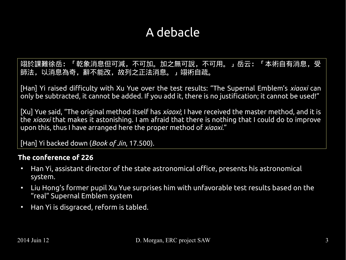## A debacle

 $\mid$  翊於課難徐岳: 「乾象消息但可減,不可加。加之無可說,不可用。」岳云: 「本術自有消息,受 **PP/ム, 907日心氣리, 하'l`BELX, HX가人エ/ム/日心。**」 2011日메.。 師法,以消息為奇,辭不能改,故列之正法消息。」翊術自疏。

[Han] Yi raised difficulty with Xu Yue over the test results: "The Supernal Emblem's *xiaoxi* can only be subtracted, it cannot be added. If you add it, there is no justification; it cannot be used!"

– In 222, Sun-Wu lay claim to the cutting edge of *li* "astronomy"—Liu Hong's (c. 135-210) Salu, The original incendu itself has *kiddki*, i have received the maste upon this, thus I have arranged here the proper method of *xiaoxi*." [Xu] Yue said, "The original method itself has *xiaoxi*; I have received the master method, and it is the *xiaoxi* that makes it astonishing. I am afraid that there is nothing that I could do to improve

[Han] Yi backed down (*Book of Jin*, 17.500).

#### **The conference of 226**

- Han Yi, assistant director of the state astronomical office, presents his astronomical system.
- Liu Hong's former pupil Xu Yue surprises him with unfavorable test results based on the "real" Supernal Emblem system
- Han Yi is disgraced, reform is tabled.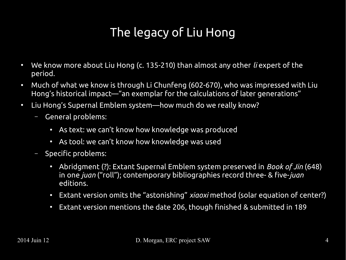## The legacy of Liu Hong

- We know more about Liu Hong (c. 135-210) than almost any other *li* expert of the period.
- Much of what we know is through Li Chunfeng (602-670), who was impressed with Liu Hong's historical impact—"an exemplar for the calculations of later generations"
- Liu Hong's Supernal Emblem system—how much do we really know?
	- General problems:
		- As text: we can't know how knowledge was produced
		- As tool: we can't know how knowledge was used
	- Specific problems:
		- Abridgment (?): Extant Supernal Emblem system preserved in *Book of Jin* (648) in one *juan* ("roll"); contemporary bibliographies record three- & five-*juan* editions.
		- Extant version omits the "astonishing" *xiaoxi* method (solar equation of center?)
		- Extant version mentions the date 206, though finished & submitted in 189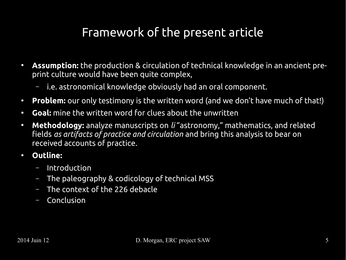### Framework of the present article

- **Assumption:** the production & circulation of technical knowledge in an ancient preprint culture would have been quite complex,
	- i.e. astronomical knowledge obviously had an oral component.
- **Problem:** our only testimony is the written word (and we don't have much of that!)
- **Goal:** mine the written word for clues about the unwritten
- **Methodology:** analyze manuscripts on *li* "astronomy," mathematics, and related fields *as artifacts of practice and circulation* and bring this analysis to bear on received accounts of practice.
- **Outline:**
	- Introduction
	- The paleography & codicology of technical MSS
	- The context of the 226 debacle
	- Conclusion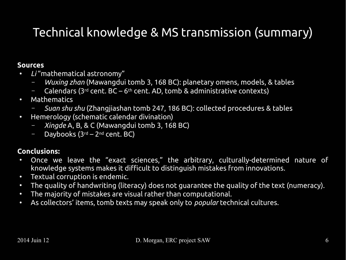# Technical knowledge & MS transmission (summary)

#### **Sources**

- *Li* "mathematical astronomy"
	- *Wuxing zhan* (Mawangdui tomb 3, 168 BC): planetary omens, models, & tables
	- $-$  Calendars (3<sup>rd</sup> cent. BC 6<sup>th</sup> cent. AD, tomb & administrative contexts)
- Mathematics
	- *Suan shu shu* (Zhangjiashan tomb 247, 186 BC): collected procedures & tables
- Hemerology (schematic calendar divination)
	- *Xingde* A, B, & C (Mawangdui tomb 3, 168 BC)
	- $-$  Daybooks (3<sup>rd</sup> 2<sup>nd</sup> cent. BC)

#### **Conclusions:**

- Once we leave the "exact sciences," the arbitrary, culturally-determined nature of knowledge systems makes it difficult to distinguish mistakes from innovations.
- Textual corruption is endemic.
- The quality of handwriting (literacy) does not guarantee the quality of the text (numeracy).
- The majority of mistakes are visual rather than computational.
- As collectors' items, tomb texts may speak only to *popular* technical cultures.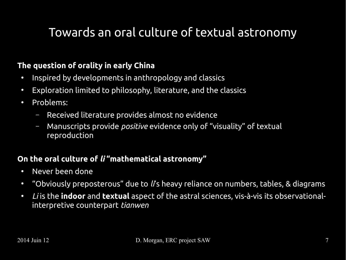### Towards an oral culture of textual astronomy

#### **The question of orality in early China**

- Inspired by developments in anthropology and classics
- Exploration limited to philosophy, literature, and the classics
- Problems:
	- Received literature provides almost no evidence
	- Manuscripts provide *positive* evidence only of "visuality" of textual reproduction

#### **On the oral culture of** *li* **"mathematical astronomy"**

- Never been done
- "Obviously preposterous" due to *li*'s heavy reliance on numbers, tables, & diagrams
- *Li* is the **indoor** and **textual** aspect of the astral sciences, vis-à-vis its observationalinterpretive counterpart *tianwen*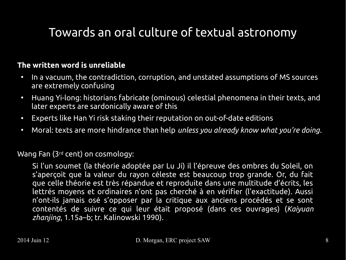## Towards an oral culture of textual astronomy

#### **The written word is unreliable**

- In a vacuum, the contradiction, corruption, and unstated assumptions of MS sources are extremely confusing
- Huang Yi-long: historians fabricate (ominous) celestial phenomena in their texts, and later experts are sardonically aware of this
- Experts like Han Yi risk staking their reputation on out-of-date editions
- Moral: texts are more hindrance than help *unless you already know what you're doing*.

Wang Fan (3rd cent) on cosmology:

Si l'un soumet (la théorie adoptée par Lu Ji) il l'épreuve des ombres du Soleil, on s'aperçoit que la valeur du rayon céleste est beaucoup trop grande. Or, du fait que celle théorie est très répandue et reproduite dans une multitude d'écrits, les lettrés moyens et ordinaires n'ont pas cherché à en vérifier (l'exactitude). Aussi n'ont-ils jamais osé s'opposer par la critique aux anciens procédés et se sont contentés de suivre ce qui leur était proposé (dans ces ouvrages) (*Kaiyuan zhanjing*, 1.15a–b; tr. Kalinowski 1990).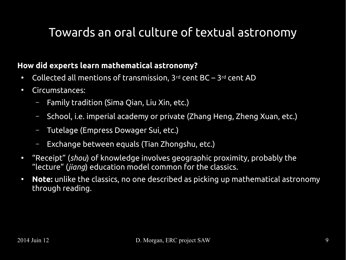### Towards an oral culture of textual astronomy

#### **How did experts learn mathematical astronomy?**

- Collected all mentions of transmission,  $3^{rd}$  cent BC  $3^{rd}$  cent AD
- Circumstances:
	- Family tradition (Sima Qian, Liu Xin, etc.)
	- School, i.e. imperial academy or private (Zhang Heng, Zheng Xuan, etc.)
	- Tutelage (Empress Dowager Sui, etc.)
	- Exchange between equals (Tian Zhongshu, etc.)
- "Receipt" (*shou*) of knowledge involves geographic proximity, probably the "lecture" (*jiang*) education model common for the classics.
- **Note:** unlike the classics, no one described as picking up mathematical astronomy through reading.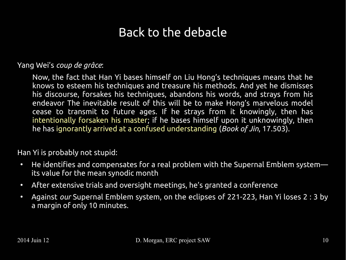### Back to the debacle

#### Yang Wei's *coup de grâce*:

Now, the fact that Han Yi bases himself on Liu Hong's techniques means that he knows to esteem his techniques and treasure his methods. And yet he dismisses his discourse, forsakes his techniques, abandons his words, and strays from his endeavor The inevitable result of this will be to make Hong's marvelous model cease to transmit to future ages. If he strays from it knowingly, then has intentionally forsaken his master; if he bases himself upon it unknowingly, then he has ignorantly arrived at a confused understanding (*Book of Jin*, 17.503).

#### Han Yi is probably not stupid:

- He identifies and compensates for a real problem with the Supernal Emblem system its value for the mean synodic month
- After extensive trials and oversight meetings, he's granted a conference
- Against *our* Supernal Emblem system, on the eclipses of 221-223, Han Yi loses 2 : 3 by a margin of only 10 minutes.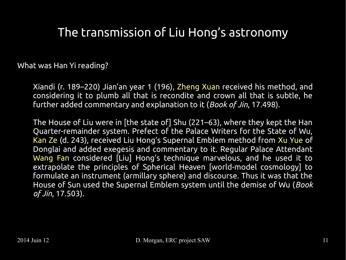What was Han Yi reading?

Xiandi (r. 189–220) Jian'an year 1 (196), Zheng Xuan received his method, and considering it to plumb all that is recondite and crown all that is subtle, he further added commentary and explanation to it (*Book of Jin*, 17.498).

The House of Liu were in [the state of] Shu (221–63), where they kept the Han Quarter-remainder system. Prefect of the Palace Writers for the State of Wu, Kan Ze (d. 243), received Liu Hong's Supernal Emblem method from Xu Yue of Donglai and added exegesis and commentary to it. Regular Palace Attendant Wang Fan considered [Liu] Hong's technique marvelous, and he used it to extrapolate the principles of Spherical Heaven [world-model cosmology] to formulate an instrument (armillary sphere) and discourse. Thus it was that the House of Sun used the Supernal Emblem system until the demise of Wu (*Book of Jin*, 17.503).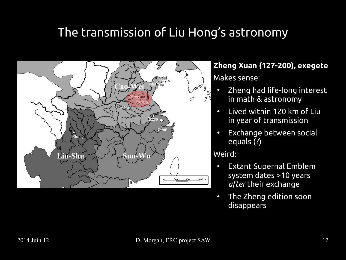

**Zheng Xuan (127-200), exegete** Makes sense:

- Zheng had life-long interest in math & astronomy
- Lived within 120 km of Liu in year of transmission
- Exchange between social equals (?)

Weird:

- Extant Supernal Emblem system dates >10 years *after* their exchange
- The Zheng edition soon disappears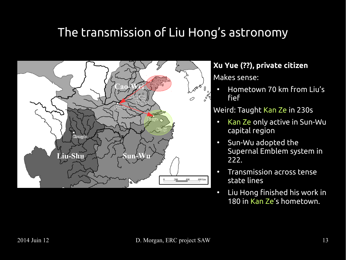

**Xu Yue (??), private citizen**

Makes sense:

• Hometown 70 km from Liu's fief

Weird: Taught Kan Ze in 230s

- Kan Ze only active in Sun-Wu capital region
- Sun-Wu adopted the Supernal Emblem system in 222.
- Transmission across tense state lines
- Liu Hong finished his work in 180 in Kan Ze's hometown.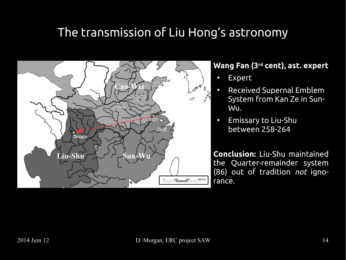

#### **Wang Fan (3rd cent), ast. expert**

- Expert
	- Received Supernal Emblem System from Kan Ze in Sun-Wu.
- Emissary to Liu-Shu between 258-264

**Conclusion:** Liu-Shu maintained the Quarter-remainder system (86) out of tradition *not* ignorance.